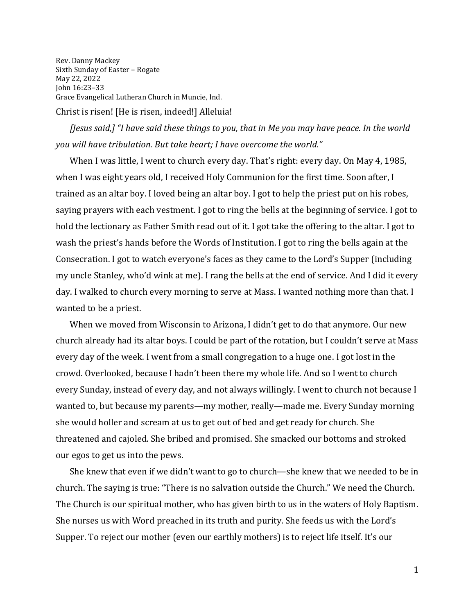Rev. Danny Mackey Sixth Sunday of Easter – Rogate May 22, 2022 John 16:23–33 Grace Evangelical Lutheran Church in Muncie, Ind. Christ is risen! [He is risen, indeed!] Alleluia!

*[Jesus said,] "I have said these things to you, that in Me you may have peace. In the world you will have tribulation. But take heart; I have overcome the world."*

When I was little, I went to church every day. That's right: every day. On May 4, 1985, when I was eight years old, I received Holy Communion for the first time. Soon after, I trained as an altar boy. I loved being an altar boy. I got to help the priest put on his robes, saying prayers with each vestment. I got to ring the bells at the beginning of service. I got to hold the lectionary as Father Smith read out of it. I got take the offering to the altar. I got to wash the priest's hands before the Words of Institution. I got to ring the bells again at the Consecration. I got to watch everyone's faces as they came to the Lord's Supper (including my uncle Stanley, who'd wink at me). I rang the bells at the end of service. And I did it every day. I walked to church every morning to serve at Mass. I wanted nothing more than that. I wanted to be a priest.

When we moved from Wisconsin to Arizona, I didn't get to do that anymore. Our new church already had its altar boys. I could be part of the rotation, but I couldn't serve at Mass every day of the week. I went from a small congregation to a huge one. I got lost in the crowd. Overlooked, because I hadn't been there my whole life. And so I went to church every Sunday, instead of every day, and not always willingly. I went to church not because I wanted to, but because my parents—my mother, really—made me. Every Sunday morning she would holler and scream at us to get out of bed and get ready for church. She threatened and cajoled. She bribed and promised. She smacked our bottoms and stroked our egos to get us into the pews.

She knew that even if we didn't want to go to church—she knew that we needed to be in church. The saying is true: "There is no salvation outside the Church." We need the Church. The Church is our spiritual mother, who has given birth to us in the waters of Holy Baptism. She nurses us with Word preached in its truth and purity. She feeds us with the Lord's Supper. To reject our mother (even our earthly mothers) is to reject life itself. It's our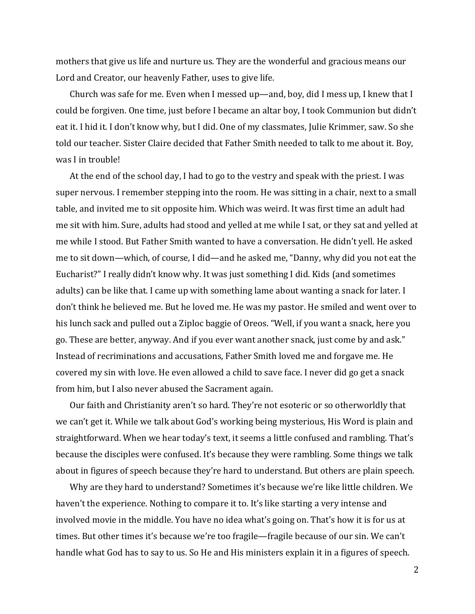mothers that give us life and nurture us. They are the wonderful and gracious means our Lord and Creator, our heavenly Father, uses to give life.

Church was safe for me. Even when I messed up—and, boy, did I mess up, I knew that I could be forgiven. One time, just before I became an altar boy, I took Communion but didn't eat it. I hid it. I don't know why, but I did. One of my classmates, Julie Krimmer, saw. So she told our teacher. Sister Claire decided that Father Smith needed to talk to me about it. Boy, was I in trouble!

At the end of the school day, I had to go to the vestry and speak with the priest. I was super nervous. I remember stepping into the room. He was sitting in a chair, next to a small table, and invited me to sit opposite him. Which was weird. It was first time an adult had me sit with him. Sure, adults had stood and yelled at me while I sat, or they sat and yelled at me while I stood. But Father Smith wanted to have a conversation. He didn't yell. He asked me to sit down—which, of course, I did—and he asked me, "Danny, why did you not eat the Eucharist?" I really didn't know why. It was just something I did. Kids (and sometimes adults) can be like that. I came up with something lame about wanting a snack for later. I don't think he believed me. But he loved me. He was my pastor. He smiled and went over to his lunch sack and pulled out a Ziploc baggie of Oreos. "Well, if you want a snack, here you go. These are better, anyway. And if you ever want another snack, just come by and ask." Instead of recriminations and accusations, Father Smith loved me and forgave me. He covered my sin with love. He even allowed a child to save face. I never did go get a snack from him, but I also never abused the Sacrament again.

Our faith and Christianity aren't so hard. They're not esoteric or so otherworldly that we can't get it. While we talk about God's working being mysterious, His Word is plain and straightforward. When we hear today's text, it seems a little confused and rambling. That's because the disciples were confused. It's because they were rambling. Some things we talk about in figures of speech because they're hard to understand. But others are plain speech.

Why are they hard to understand? Sometimes it's because we're like little children. We haven't the experience. Nothing to compare it to. It's like starting a very intense and involved movie in the middle. You have no idea what's going on. That's how it is for us at times. But other times it's because we're too fragile—fragile because of our sin. We can't handle what God has to say to us. So He and His ministers explain it in a figures of speech.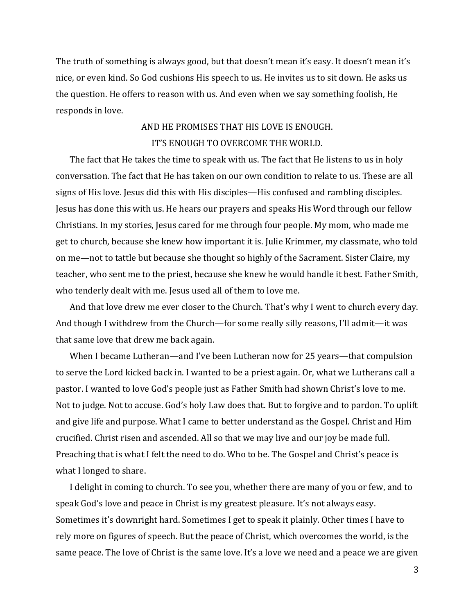The truth of something is always good, but that doesn't mean it's easy. It doesn't mean it's nice, or even kind. So God cushions His speech to us. He invites us to sit down. He asks us the question. He offers to reason with us. And even when we say something foolish, He responds in love.

## AND HE PROMISES THAT HIS LOVE IS ENOUGH. IT'S ENOUGH TO OVERCOME THE WORLD.

The fact that He takes the time to speak with us. The fact that He listens to us in holy conversation. The fact that He has taken on our own condition to relate to us. These are all signs of His love. Jesus did this with His disciples—His confused and rambling disciples. Jesus has done this with us. He hears our prayers and speaks His Word through our fellow Christians. In my stories, Jesus cared for me through four people. My mom, who made me get to church, because she knew how important it is. Julie Krimmer, my classmate, who told on me—not to tattle but because she thought so highly of the Sacrament. Sister Claire, my teacher, who sent me to the priest, because she knew he would handle it best. Father Smith, who tenderly dealt with me. Jesus used all of them to love me.

And that love drew me ever closer to the Church. That's why I went to church every day. And though I withdrew from the Church—for some really silly reasons, I'll admit—it was that same love that drew me back again.

When I became Lutheran—and I've been Lutheran now for 25 years—that compulsion to serve the Lord kicked back in. I wanted to be a priest again. Or, what we Lutherans call a pastor. I wanted to love God's people just as Father Smith had shown Christ's love to me. Not to judge. Not to accuse. God's holy Law does that. But to forgive and to pardon. To uplift and give life and purpose. What I came to better understand as the Gospel. Christ and Him crucified. Christ risen and ascended. All so that we may live and our joy be made full. Preaching that is what I felt the need to do. Who to be. The Gospel and Christ's peace is what I longed to share.

I delight in coming to church. To see you, whether there are many of you or few, and to speak God's love and peace in Christ is my greatest pleasure. It's not always easy. Sometimes it's downright hard. Sometimes I get to speak it plainly. Other times I have to rely more on figures of speech. But the peace of Christ, which overcomes the world, is the same peace. The love of Christ is the same love. It's a love we need and a peace we are given

3